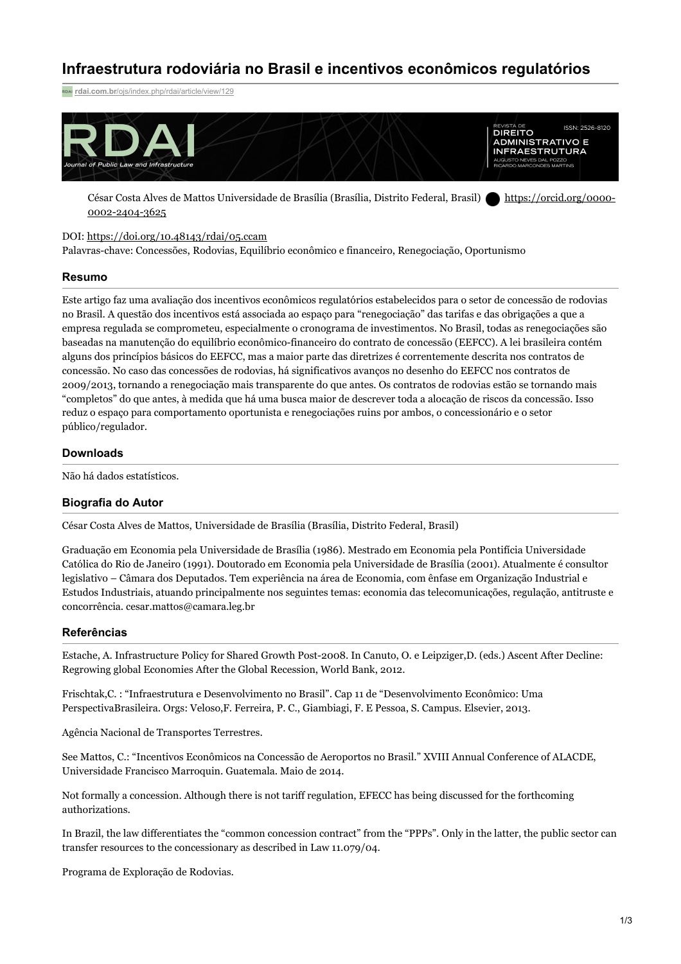# **Infraestrutura rodoviária no Brasil e incentivos econômicos regulatórios**

**rdai.com.br**[/ojs/index.php/rdai/article/view/129](https://rdai.com.br/ojs/index.php/rdai/article/view/129)



César Costa Alves de Mattos Universidade de Brasília (Brasília, Distrito Federal, Brasil) [https://orcid.org/0000-](https://orcid.org/0000-0002-2404-3625) 0002-2404-3625

### DOI: <https://doi.org/10.48143/rdai/05.ccam>

Palavras-chave: Concessões, Rodovias, Equilíbrio econômico e financeiro, Renegociação, Oportunismo

#### **Resumo**

Este artigo faz uma avaliação dos incentivos econômicos regulatórios estabelecidos para o setor de concessão de rodovias no Brasil. A questão dos incentivos está associada ao espaço para "renegociação" das tarifas e das obrigações a que a empresa regulada se comprometeu, especialmente o cronograma de investimentos. No Brasil, todas as renegociações são baseadas na manutenção do equilíbrio econômico-financeiro do contrato de concessão (EEFCC). A lei brasileira contém alguns dos princípios básicos do EEFCC, mas a maior parte das diretrizes é correntemente descrita nos contratos de concessão. No caso das concessões de rodovias, há significativos avanços no desenho do EEFCC nos contratos de 2009/2013, tornando a renegociação mais transparente do que antes. Os contratos de rodovias estão se tornando mais "completos" do que antes, à medida que há uma busca maior de descrever toda a alocação de riscos da concessão. Isso reduz o espaço para comportamento oportunista e renegociações ruins por ambos, o concessionário e o setor público/regulador.

## **Downloads**

Não há dados estatísticos.

#### **Biografia do Autor**

César Costa Alves de Mattos, Universidade de Brasília (Brasília, Distrito Federal, Brasil)

Graduação em Economia pela Universidade de Brasília (1986). Mestrado em Economia pela Pontifícia Universidade Católica do Rio de Janeiro (1991). Doutorado em Economia pela Universidade de Brasília (2001). Atualmente é consultor legislativo – Câmara dos Deputados. Tem experiência na área de Economia, com ênfase em Organização Industrial e Estudos Industriais, atuando principalmente nos seguintes temas: economia das telecomunicações, regulação, antitruste e concorrência. cesar.mattos@camara.leg.br

### **Referências**

Estache, A. Infrastructure Policy for Shared Growth Post-2008. In Canuto, O. e Leipziger,D. (eds.) Ascent After Decline: Regrowing global Economies After the Global Recession, World Bank, 2012.

Frischtak,C. : "Infraestrutura e Desenvolvimento no Brasil". Cap 11 de "Desenvolvimento Econômico: Uma PerspectivaBrasileira. Orgs: Veloso,F. Ferreira, P. C., Giambiagi, F. E Pessoa, S. Campus. Elsevier, 2013.

Agência Nacional de Transportes Terrestres.

See Mattos, C.: "Incentivos Econômicos na Concessão de Aeroportos no Brasil." XVIII Annual Conference of ALACDE, Universidade Francisco Marroquin. Guatemala. Maio de 2014.

Not formally a concession. Although there is not tariff regulation, EFECC has being discussed for the forthcoming authorizations.

In Brazil, the law differentiates the "common concession contract" from the "PPPs". Only in the latter, the public sector can transfer resources to the concessionary as described in Law 11.079/04.

Programa de Exploração de Rodovias.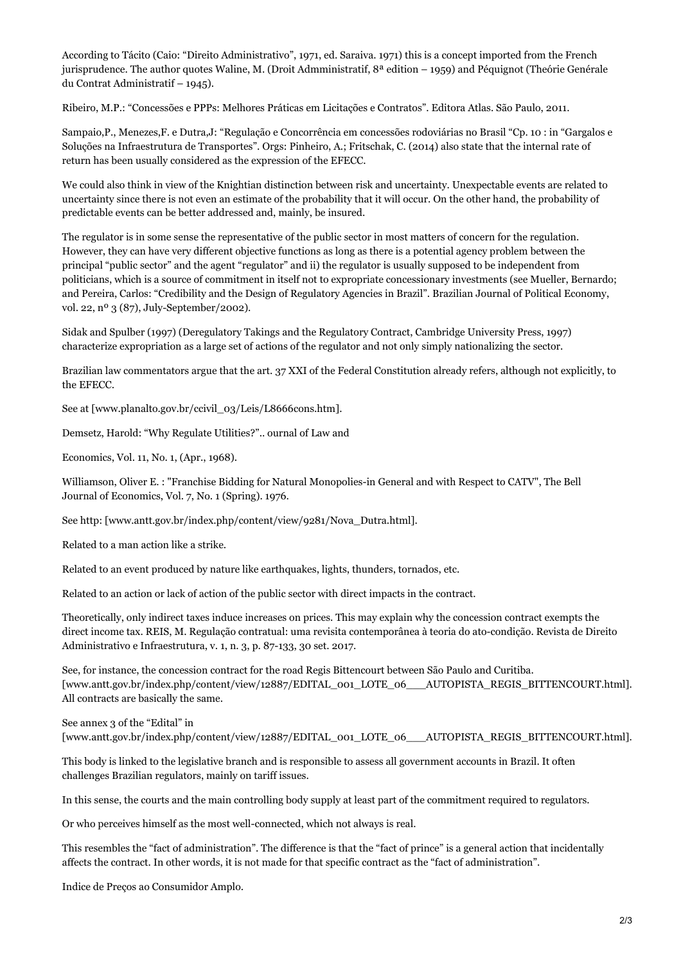According to Tácito (Caio: "Direito Administrativo", 1971, ed. Saraiva. 1971) this is a concept imported from the French jurisprudence. The author quotes Waline, M. (Droit Admministratif, 8<sup>ª</sup> edition – 1959) and Péquignot (Theórie Genérale du Contrat Administratif – 1945).

Ribeiro, M.P.: "Concessões e PPPs: Melhores Práticas em Licitações e Contratos". Editora Atlas. São Paulo, 2011.

Sampaio,P., Menezes,F. e Dutra,J: "Regulação e Concorrência em concessões rodoviárias no Brasil "Cp. 10 : in "Gargalos e Soluções na Infraestrutura de Transportes". Orgs: Pinheiro, A.; Fritschak, C. (2014) also state that the internal rate of return has been usually considered as the expression of the EFECC.

We could also think in view of the Knightian distinction between risk and uncertainty. Unexpectable events are related to uncertainty since there is not even an estimate of the probability that it will occur. On the other hand, the probability of predictable events can be better addressed and, mainly, be insured.

The regulator is in some sense the representative of the public sector in most matters of concern for the regulation. However, they can have very different objective functions as long as there is a potential agency problem between the principal "public sector" and the agent "regulator" and ii) the regulator is usually supposed to be independent from politicians, which is a source of commitment in itself not to expropriate concessionary investments (see Mueller, Bernardo; and Pereira, Carlos: "Credibility and the Design of Regulatory Agencies in Brazil". Brazilian Journal of Political Economy, vol. 22, nº 3 (87), July-September/2002).

Sidak and Spulber (1997) (Deregulatory Takings and the Regulatory Contract, Cambridge University Press, 1997) characterize expropriation as a large set of actions of the regulator and not only simply nationalizing the sector.

Brazilian law commentators argue that the art. 37 XXI of the Federal Constitution already refers, although not explicitly, to the EFECC.

See at [www.planalto.gov.br/ccivil\_03/Leis/L8666cons.htm].

Demsetz, Harold: "Why Regulate Utilities?".. ournal of Law and

Economics, Vol. 11, No. 1, (Apr., 1968).

Williamson, Oliver E. : "Franchise Bidding for Natural Monopolies-in General and with Respect to CATV", The Bell Journal of Economics, Vol. 7, No. 1 (Spring). 1976.

See http: [www.antt.gov.br/index.php/content/view/9281/Nova\_Dutra.html].

Related to a man action like a strike.

Related to an event produced by nature like earthquakes, lights, thunders, tornados, etc.

Related to an action or lack of action of the public sector with direct impacts in the contract.

Theoretically, only indirect taxes induce increases on prices. This may explain why the concession contract exempts the direct income tax. REIS, M. Regulação contratual: uma revisita contemporânea à teoria do ato-condição. Revista de Direito Administrativo e Infraestrutura, v. 1, n. 3, p. 87-133, 30 set. 2017.

See, for instance, the concession contract for the road Regis Bittencourt between São Paulo and Curitiba. [www.antt.gov.br/index.php/content/view/12887/EDITAL\_001\_LOTE\_06\_\_\_AUTOPISTA\_REGIS\_BITTENCOURT.html]. All contracts are basically the same.

See annex 3 of the "Edital" in

[www.antt.gov.br/index.php/content/view/12887/EDITAL\_001\_LOTE\_06\_\_\_AUTOPISTA\_REGIS\_BITTENCOURT.html].

This body is linked to the legislative branch and is responsible to assess all government accounts in Brazil. It often challenges Brazilian regulators, mainly on tariff issues.

In this sense, the courts and the main controlling body supply at least part of the commitment required to regulators.

Or who perceives himself as the most well-connected, which not always is real.

This resembles the "fact of administration". The difference is that the "fact of prince" is a general action that incidentally affects the contract. In other words, it is not made for that specific contract as the "fact of administration".

Indice de Preços ao Consumidor Amplo.